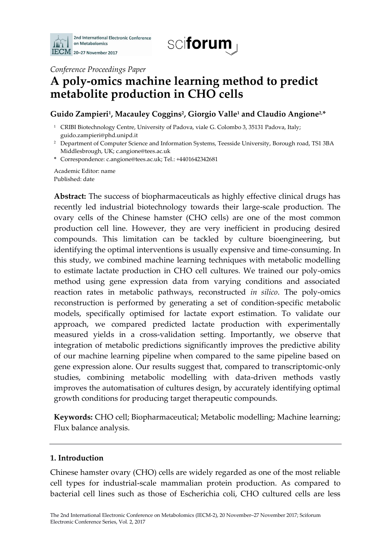



*Conference Proceedings Paper*

# **A poly-omics machine learning method to predict metabolite production in CHO cells**

# **Guido Zampieri<sup>1</sup> , Macauley Coggins<sup>2</sup> , Giorgio Valle<sup>1</sup> and Claudio Angione2,\***

- <sup>1</sup> CRIBI Biotechnology Centre, University of Padova, viale G. Colombo 3, 35131 Padova, Italy; guido.zampieri@phd.unipd.it
- <sup>2</sup> Department of Computer Science and Information Systems, Teesside University, Borough road, TS1 3BA Middlesbrough, UK; c.angione@tees.ac.uk
- **\*** Correspondence: c.angione@tees.ac.uk; Tel.: +4401642342681

Academic Editor: name Published: date

**Abstract:** The success of biopharmaceuticals as highly effective clinical drugs has recently led industrial biotechnology towards their large-scale production. The ovary cells of the Chinese hamster (CHO cells) are one of the most common production cell line. However, they are very inefficient in producing desired compounds. This limitation can be tackled by culture bioengineering, but identifying the optimal interventions is usually expensive and time-consuming. In this study, we combined machine learning techniques with metabolic modelling to estimate lactate production in CHO cell cultures. We trained our poly-omics method using gene expression data from varying conditions and associated reaction rates in metabolic pathways, reconstructed *in silico*. The poly-omics reconstruction is performed by generating a set of condition-specific metabolic models, specifically optimised for lactate export estimation. To validate our approach, we compared predicted lactate production with experimentally measured yields in a cross-validation setting. Importantly, we observe that integration of metabolic predictions significantly improves the predictive ability of our machine learning pipeline when compared to the same pipeline based on gene expression alone. Our results suggest that, compared to transcriptomic-only studies, combining metabolic modelling with data-driven methods vastly improves the automatisation of cultures design, by accurately identifying optimal growth conditions for producing target therapeutic compounds.

**Keywords:** CHO cell; Biopharmaceutical; Metabolic modelling; Machine learning; Flux balance analysis.

## **1. Introduction**

Chinese hamster ovary (CHO) cells are widely regarded as one of the most reliable cell types for industrial-scale mammalian protein production. As compared to bacterial cell lines such as those of Escherichia coli, CHO cultured cells are less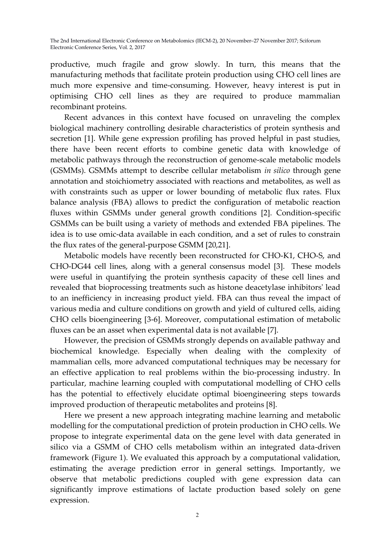productive, much fragile and grow slowly. In turn, this means that the manufacturing methods that facilitate protein production using CHO cell lines are much more expensive and time-consuming. However, heavy interest is put in optimising CHO cell lines as they are required to produce mammalian recombinant proteins.

Recent advances in this context have focused on unraveling the complex biological machinery controlling desirable characteristics of protein synthesis and secretion [1]. While gene expression profiling has proved helpful in past studies, there have been recent efforts to combine genetic data with knowledge of metabolic pathways through the reconstruction of genome-scale metabolic models (GSMMs). GSMMs attempt to describe cellular metabolism *in silico* through gene annotation and stoichiometry associated with reactions and metabolites, as well as with constraints such as upper or lower bounding of metabolic flux rates. Flux balance analysis (FBA) allows to predict the configuration of metabolic reaction fluxes within GSMMs under general growth conditions [2]. Condition-specific GSMMs can be built using a variety of methods and extended FBA pipelines. The idea is to use omic-data available in each condition, and a set of rules to constrain the flux rates of the general-purpose GSMM [20,21].

Metabolic models have recently been reconstructed for CHO-K1, CHO-S, and CHO-DG44 cell lines, along with a general consensus model [3]. These models were useful in quantifying the protein synthesis capacity of these cell lines and revealed that bioprocessing treatments such as histone deacetylase inhibitors' lead to an inefficiency in increasing product yield. FBA can thus reveal the impact of various media and culture conditions on growth and yield of cultured cells, aiding CHO cells bioengineering [3-6]. Moreover, computational estimation of metabolic fluxes can be an asset when experimental data is not available [7].

However, the precision of GSMMs strongly depends on available pathway and biochemical knowledge. Especially when dealing with the complexity of mammalian cells, more advanced computational techniques may be necessary for an effective application to real problems within the bio-processing industry. In particular, machine learning coupled with computational modelling of CHO cells has the potential to effectively elucidate optimal bioengineering steps towards improved production of therapeutic metabolites and proteins [8].

Here we present a new approach integrating machine learning and metabolic modelling for the computational prediction of protein production in CHO cells. We propose to integrate experimental data on the gene level with data generated in silico via a GSMM of CHO cells metabolism within an integrated data-driven framework (Figure 1). We evaluated this approach by a computational validation, estimating the average prediction error in general settings. Importantly, we observe that metabolic predictions coupled with gene expression data can significantly improve estimations of lactate production based solely on gene expression.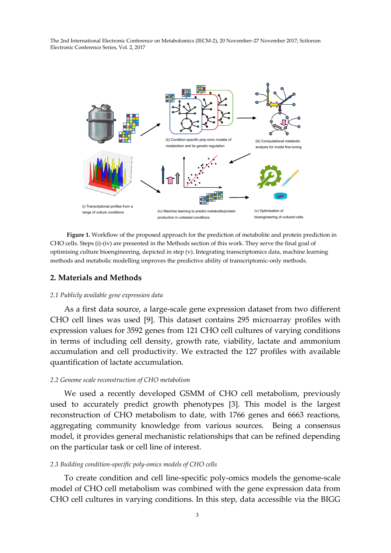

**Figure 1.** Workflow of the proposed approach for the prediction of metabolite and protein prediction in CHO cells. Steps (i)-(iv) are presented in the Methods section of this work. They serve the final goal of optimising culture bioengineering, depicted in step (v). Integrating transcriptomics data, machine learning methods and metabolic modelling improves the predictive ability of transcriptomic-only methods.

## **2. Materials and Methods**

#### *2.1 Publicly available gene expression data*

As a first data source, a large-scale gene expression dataset from two different CHO cell lines was used [9]. This dataset contains 295 microarray profiles with expression values for 3592 genes from 121 CHO cell cultures of varying conditions in terms of including cell density, growth rate, viability, lactate and ammonium accumulation and cell productivity. We extracted the 127 profiles with available quantification of lactate accumulation.

#### *2.2 Genome scale reconstruction of CHO metabolism*

We used a recently developed GSMM of CHO cell metabolism, previously used to accurately predict growth phenotypes [3]. This model is the largest reconstruction of CHO metabolism to date, with 1766 genes and 6663 reactions, aggregating community knowledge from various sources. Being a consensus model, it provides general mechanistic relationships that can be refined depending on the particular task or cell line of interest.

#### *2.3 Building condition-specific poly-omics models of CHO cells*

To create condition and cell line-specific poly-omics models the genome-scale model of CHO cell metabolism was combined with the gene expression data from CHO cell cultures in varying conditions. In this step, data accessible via the BIGG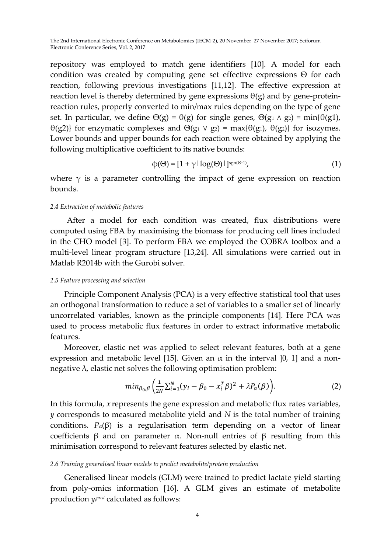repository was employed to match gene identifiers [10]. A model for each condition was created by computing gene set effective expressions Θ for each reaction, following previous investigations [11,12]. The effective expression at reaction level is thereby determined by gene expressions  $\theta$ (g) and by gene-proteinreaction rules, properly converted to min/max rules depending on the type of gene set. In particular, we define  $\Theta(g) = \Theta(g)$  for single genes,  $\Theta(g_1 \wedge g_2) = \min{\{\theta(g_1),\}}$ θ(g2)} for enzymatic complexes and Θ(g<sub>1</sub> ν g<sub>2</sub>) = max{θ(g<sub>1</sub>), θ(g<sub>2</sub>)} for isozymes. Lower bounds and upper bounds for each reaction were obtained by applying the following multiplicative coefficient to its native bounds:

$$
\varphi(\Theta) = [1 + \gamma |\log(\Theta)|]^{sgn(\Theta-1)},\tag{1}
$$

where  $\gamma$  is a parameter controlling the impact of gene expression on reaction bounds.

## *2.4 Extraction of metabolic features*

After a model for each condition was created, flux distributions were computed using FBA by maximising the biomass for producing cell lines included in the CHO model [3]. To perform FBA we employed the COBRA toolbox and a multi-level linear program structure [13,24]. All simulations were carried out in Matlab R2014b with the Gurobi solver.

## *2.5 Feature processing and selection*

Principle Component Analysis (PCA) is a very effective statistical tool that uses an orthogonal transformation to reduce a set of variables to a smaller set of linearly uncorrelated variables, known as the principle components [14]. Here PCA was used to process metabolic flux features in order to extract informative metabolic features.

Moreover, elastic net was applied to select relevant features, both at a gene expression and metabolic level [15]. Given an  $\alpha$  in the interval [0, 1] and a nonnegative  $\lambda$ , elastic net solves the following optimisation problem:

$$
min_{\beta_0,\beta}\left(\frac{1}{2N}\sum_{i=1}^N(y_i-\beta_0-x_i^T\beta)^2+\lambda P_\alpha(\beta)\right).
$$
 (2)

In this formula, *x* represents the gene expression and metabolic flux rates variables, *y* corresponds to measured metabolite yield and *N* is the total number of training conditions.  $P_{\alpha}(\beta)$  is a regularisation term depending on a vector of linear coefficients β and on parameter α. Non-null entries of β resulting from this minimisation correspond to relevant features selected by elastic net.

## *2.6 Training generalised linear models to predict metabolite/protein production*

Generalised linear models (GLM) were trained to predict lactate yield starting from poly-omics information [16]. A GLM gives an estimate of metabolite production *y<sup>i</sup> pred* calculated as follows: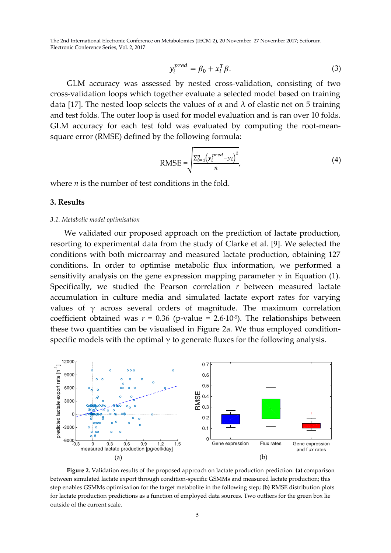$$
y_i^{pred} = \beta_0 + x_i^T \beta. \tag{3}
$$

GLM accuracy was assessed by nested cross-validation, consisting of two cross-validation loops which together evaluate a selected model based on training data [17]. The nested loop selects the values of  $\alpha$  and  $\lambda$  of elastic net on 5 training and test folds. The outer loop is used for model evaluation and is ran over 10 folds. GLM accuracy for each test fold was evaluated by computing the root-meansquare error (RMSE) defined by the following formula:

RMSE = 
$$
\sqrt{\frac{\sum_{i=1}^{n} (y_i^{pred} - y_i)^2}{n}},
$$
 (4)

where *n* is the number of test conditions in the fold.

## **3. Results**

#### *3.1. Metabolic model optimisation*

We validated our proposed approach on the prediction of lactate production, resorting to experimental data from the study of Clarke et al. [9]. We selected the conditions with both microarray and measured lactate production, obtaining 127 conditions. In order to optimise metabolic flux information, we performed a sensitivity analysis on the gene expression mapping parameter  $\gamma$  in Equation (1). Specifically, we studied the Pearson correlation *r* between measured lactate accumulation in culture media and simulated lactate export rates for varying values of  $\gamma$  across several orders of magnitude. The maximum correlation coefficient obtained was  $r = 0.36$  (p-value =  $2.6 \cdot 10^{-5}$ ). The relationships between these two quantities can be visualised in Figure 2a. We thus employed conditionspecific models with the optimal  $\gamma$  to generate fluxes for the following analysis.



**Figure 2.** Validation results of the proposed approach on lactate production prediction: **(a)** comparison between simulated lactate export through condition-specific GSMMs and measured lactate production; this step enables GSMMs optimisation for the target metabolite in the following step; **(b)** RMSE distribution plots for lactate production predictions as a function of employed data sources. Two outliers for the green box lie outside of the current scale.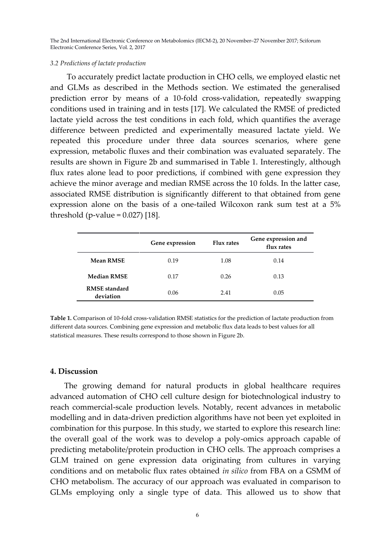#### *3.2 Predictions of lactate production*

To accurately predict lactate production in CHO cells, we employed elastic net and GLMs as described in the Methods section. We estimated the generalised prediction error by means of a 10-fold cross-validation, repeatedly swapping conditions used in training and in tests [17]. We calculated the RMSE of predicted lactate yield across the test conditions in each fold, which quantifies the average difference between predicted and experimentally measured lactate yield. We repeated this procedure under three data sources scenarios, where gene expression, metabolic fluxes and their combination was evaluated separately. The results are shown in Figure 2b and summarised in Table 1. Interestingly, although flux rates alone lead to poor predictions, if combined with gene expression they achieve the minor average and median RMSE across the 10 folds. In the latter case, associated RMSE distribution is significantly different to that obtained from gene expression alone on the basis of a one-tailed Wilcoxon rank sum test at a 5% threshold (p-value =  $0.027$ ) [18].

|                                   | Gene expression | <b>Flux rates</b> | Gene expression and<br>flux rates |
|-----------------------------------|-----------------|-------------------|-----------------------------------|
| <b>Mean RMSE</b>                  | 0.19            | 1.08              | 0.14                              |
| <b>Median RMSE</b>                | 0.17            | 0.26              | 0.13                              |
| <b>RMSE</b> standard<br>deviation | 0.06            | 2.41              | 0.05                              |

**Table 1.** Comparison of 10-fold cross-validation RMSE statistics for the prediction of lactate production from different data sources. Combining gene expression and metabolic flux data leads to best values for all statistical measures. These results correspond to those shown in Figure 2b.

## **4. Discussion**

The growing demand for natural products in global healthcare requires advanced automation of CHO cell culture design for biotechnological industry to reach commercial-scale production levels. Notably, recent advances in metabolic modelling and in data-driven prediction algorithms have not been yet exploited in combination for this purpose. In this study, we started to explore this research line: the overall goal of the work was to develop a poly-omics approach capable of predicting metabolite/protein production in CHO cells. The approach comprises a GLM trained on gene expression data originating from cultures in varying conditions and on metabolic flux rates obtained *in silico* from FBA on a GSMM of CHO metabolism. The accuracy of our approach was evaluated in comparison to GLMs employing only a single type of data. This allowed us to show that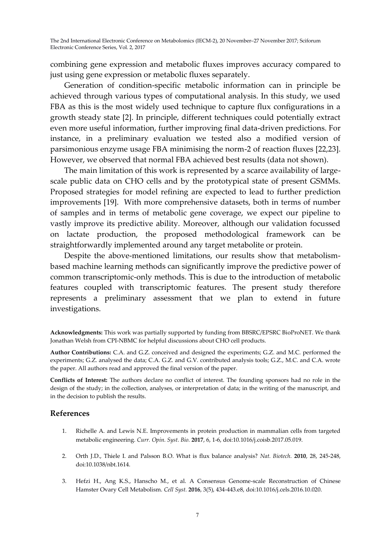combining gene expression and metabolic fluxes improves accuracy compared to just using gene expression or metabolic fluxes separately.

Generation of condition-specific metabolic information can in principle be achieved through various types of computational analysis. In this study, we used FBA as this is the most widely used technique to capture flux configurations in a growth steady state [2]. In principle, different techniques could potentially extract even more useful information, further improving final data-driven predictions. For instance, in a preliminary evaluation we tested also a modified version of parsimonious enzyme usage FBA minimising the norm-2 of reaction fluxes [22,23]. However, we observed that normal FBA achieved best results (data not shown).

The main limitation of this work is represented by a scarce availability of largescale public data on CHO cells and by the prototypical state of present GSMMs. Proposed strategies for model refining are expected to lead to further prediction improvements [19]. With more comprehensive datasets, both in terms of number of samples and in terms of metabolic gene coverage, we expect our pipeline to vastly improve its predictive ability. Moreover, although our validation focussed on lactate production, the proposed methodological framework can be straightforwardly implemented around any target metabolite or protein.

Despite the above-mentioned limitations, our results show that metabolismbased machine learning methods can significantly improve the predictive power of common transcriptomic-only methods. This is due to the introduction of metabolic features coupled with transcriptomic features. The present study therefore represents a preliminary assessment that we plan to extend in future investigations.

**Acknowledgments:** This work was partially supported by funding from BBSRC/EPSRC BioProNET. We thank Jonathan Welsh from CPI-NBMC for helpful discussions about CHO cell products.

**Author Contributions:** C.A. and G.Z. conceived and designed the experiments; G.Z. and M.C. performed the experiments; G.Z. analysed the data; C.A. G.Z. and G.V. contributed analysis tools; G.Z., M.C. and C.A. wrote the paper. All authors read and approved the final version of the paper.

**Conflicts of Interest:** The authors declare no conflict of interest. The founding sponsors had no role in the design of the study; in the collection, analyses, or interpretation of data; in the writing of the manuscript, and in the decision to publish the results.

## **References**

- 1. Richelle A. and Lewis N.E. Improvements in protein production in mammalian cells from targeted metabolic engineering. *Curr. Opin. Syst. Bio.* **2017**, 6, 1-6, doi:10.1016/j.coisb.2017.05.019.
- 2. Orth J.D., Thiele I. and Palsson B.O. What is flux balance analysis? *Nat. Biotech.* **2010**, 28, 245-248, doi:10.1038/nbt.1614.
- 3. Hefzi H., Ang K.S., Hanscho M., et al. A Consensus Genome-scale Reconstruction of Chinese Hamster Ovary Cell Metabolism. *Cell Syst.* **2016**, 3(5), 434-443.e8, doi:10.1016/j.cels.2016.10.020.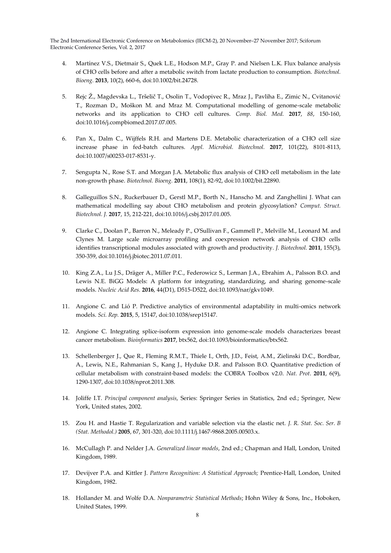- 4. Martínez V.S., Dietmair S., Quek L.E., Hodson M.P., Gray P. and Nielsen L.K. Flux balance analysis of CHO cells before and after a metabolic switch from lactate production to consumption. *Biotechnol. Bioeng.* **2013**, 10(2), 660-6, doi:10.1002/bit.24728.
- 5. Rejc Ž., Magdevska L., Tršelič T., Osolin T., Vodopivec R., Mraz J., Pavliha E., Zimic N., Cvitanović T., Rozman D., Moškon M. and Mraz M. Computational modelling of genome-scale metabolic networks and its application to CHO cell cultures. *Comp. Biol. Med.* **2017**, *88*, 150-160, doi:10.1016/j.compbiomed.2017.07.005.
- 6. Pan X., Dalm C., Wijffels R.H. and Martens D.E. Metabolic characterization of a CHO cell size increase phase in fed-batch cultures. *Appl. Microbiol. Biotechnol.* **2017**, 101(22), 8101-8113, doi:10.1007/s00253-017-8531-y.
- 7. Sengupta N., Rose S.T. and Morgan J.A. Metabolic flux analysis of CHO cell metabolism in the late non-growth phase. *Biotechnol. Bioeng.* **2011**, 108(1), 82-92, doi:10.1002/bit.22890.
- 8. Galleguillos S.N., Ruckerbauer D., Gerstl M.P., Borth N., Hanscho M. and Zanghellini J. What can mathematical modelling say about CHO metabolism and protein glycosylation? *Comput. Struct. Biotechnol. J.* **2017**, 15, 212-221, doi:10.1016/j.csbj.2017.01.005.
- 9. Clarke C., Doolan P., Barron N., Meleady P., O'Sullivan F., Gammell P., Melville M., Leonard M. and Clynes M. Large scale microarray profiling and coexpression network analysis of CHO cells identifies transcriptional modules associated with growth and productivity. *J. Biotechnol.* **2011**, 155(3), 350-359, doi:10.1016/j.jbiotec.2011.07.011.
- 10. King Z.A., Lu J.S., Dräger A., Miller P.C., Federowicz S., Lerman J.A., Ebrahim A., Palsson B.O. and Lewis N.E. BiGG Models: A platform for integrating, standardizing, and sharing genome-scale models. *Nucleic Acid Res.* **2016**, 44(D1), D515-D522, doi:10.1093/nar/gkv1049.
- 11. Angione C. and Lió P. Predictive analytics of environmental adaptability in multi-omics network models. *Sci. Rep.* **2015**, 5, 15147, doi:10.1038/srep15147.
- 12. Angione C. Integrating splice-isoform expression into genome-scale models characterizes breast cancer metabolism. *Bioinformatics* **2017**, btx562, doi:10.1093/bioinformatics/btx562.
- 13. Schellenberger J., Que R., Fleming R.M.T., Thiele I., Orth, J.D., Feist, A.M., Zielinski D.C., Bordbar, A., Lewis, N.E., Rahmanian S., Kang J., Hyduke D.R. and Palsson B.O. Quantitative prediction of cellular metabolism with constraint-based models: the COBRA Toolbox v2.0. *Nat. Prot*. **2011**, 6(9), 1290-1307, doi:10.1038/nprot.2011.308.
- 14. Joliffe I.T. *Principal component analysis*, Series: Springer Series in Statistics, 2nd ed.; Springer, New York, United states, 2002.
- 15. Zou H. and Hastie T. Regularization and variable selection via the elastic net. *J. R. Stat. Soc. Ser. B (Stat. Methodol.)* **2005**, 67, 301-320, doi:10.1111/j.1467-9868.2005.00503.x.
- 16. McCullagh P. and Nelder J.A. *Generalized linear models*, 2nd ed.; Chapman and Hall, London, United Kingdom, 1989.
- 17. Devijver P.A. and Kittler J. *Pattern Recognition: A Statistical Approach;* Prentice-Hall, London, United Kingdom, 1982.
- 18. Hollander M. and Wolfe D.A. *Nonparametric Statistical Methods*; Hohn Wiley & Sons, Inc., Hoboken, United States, 1999.